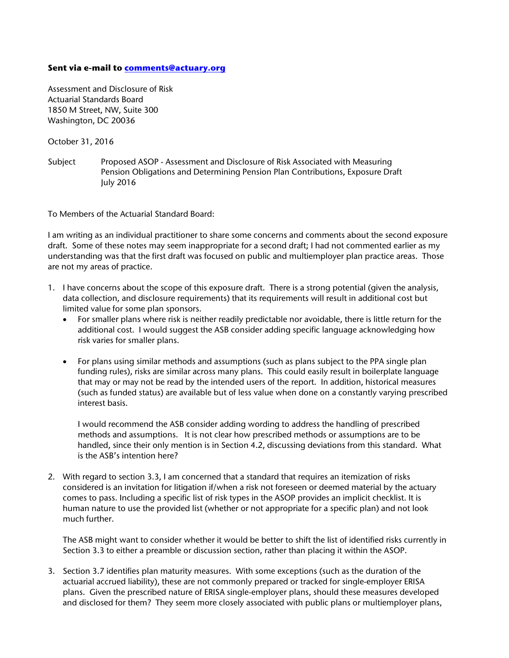## **Sent via e-mail to comments@actuary.org**

Assessment and Disclosure of Risk Actuarial Standards Board 1850 M Street, NW, Suite 300 Washington, DC 20036

October 31, 2016

Subject Proposed ASOP - Assessment and Disclosure of Risk Associated with Measuring Pension Obligations and Determining Pension Plan Contributions, Exposure Draft July 2016

To Members of the Actuarial Standard Board:

I am writing as an individual practitioner to share some concerns and comments about the second exposure draft. Some of these notes may seem inappropriate for a second draft; I had not commented earlier as my understanding was that the first draft was focused on public and multiemployer plan practice areas. Those are not my areas of practice.

- 1. I have concerns about the scope of this exposure draft. There is a strong potential (given the analysis, data collection, and disclosure requirements) that its requirements will result in additional cost but limited value for some plan sponsors.
	- For smaller plans where risk is neither readily predictable nor avoidable, there is little return for the additional cost. I would suggest the ASB consider adding specific language acknowledging how risk varies for smaller plans.
	- For plans using similar methods and assumptions (such as plans subject to the PPA single plan funding rules), risks are similar across many plans. This could easily result in boilerplate language that may or may not be read by the intended users of the report. In addition, historical measures (such as funded status) are available but of less value when done on a constantly varying prescribed interest basis.

I would recommend the ASB consider adding wording to address the handling of prescribed methods and assumptions. It is not clear how prescribed methods or assumptions are to be handled, since their only mention is in Section 4.2, discussing deviations from this standard. What is the ASB's intention here?

2. With regard to section 3.3, I am concerned that a standard that requires an itemization of risks considered is an invitation for litigation if/when a risk not foreseen or deemed material by the actuary comes to pass. Including a specific list of risk types in the ASOP provides an implicit checklist. It is human nature to use the provided list (whether or not appropriate for a specific plan) and not look much further.

The ASB might want to consider whether it would be better to shift the list of identified risks currently in Section 3.3 to either a preamble or discussion section, rather than placing it within the ASOP.

3. Section 3.7 identifies plan maturity measures. With some exceptions (such as the duration of the actuarial accrued liability), these are not commonly prepared or tracked for single-employer ERISA plans. Given the prescribed nature of ERISA single-employer plans, should these measures developed and disclosed for them? They seem more closely associated with public plans or multiemployer plans,